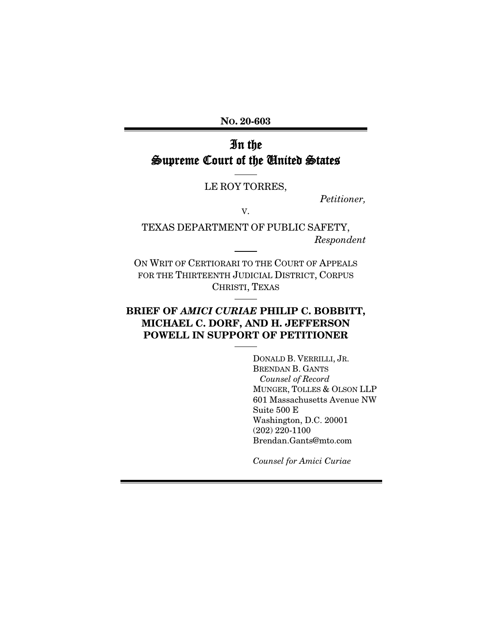NO. 20-603

# In the Supreme Court of the United States

### LE ROY TORRES,

*Petitioner,*

V.

TEXAS DEPARTMENT OF PUBLIC SAFETY, *Respondent*

ON WRIT OF CERTIORARI TO THE COURT OF APPEALS FOR THE THIRTEENTH JUDICIAL DISTRICT, CORPUS CHRISTI, TEXAS

### BRIEF OF *AMICI CURIAE* PHILIP C. BOBBITT, MICHAEL C. DORF, AND H. JEFFERSON POWELL IN SUPPORT OF PETITIONER

DONALD B. VERRILLI, JR. BRENDAN B. GANTS *Counsel of Record* MUNGER, TOLLES & OLSON LLP 601 Massachusetts Avenue NW Suite 500 E Washington, D.C. 20001 (202) 220-1100 Brendan.Gants@mto.com

*Counsel for Amici Curiae*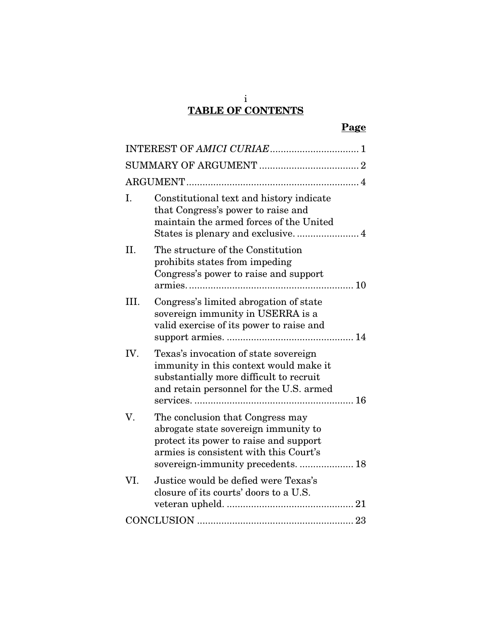# TABLE OF CONTENTS

|--|

| I.   | Constitutional text and history indicate<br>that Congress's power to raise and<br>maintain the armed forces of the United                                                                        |  |
|------|--------------------------------------------------------------------------------------------------------------------------------------------------------------------------------------------------|--|
| II.  | The structure of the Constitution<br>prohibits states from impeding<br>Congress's power to raise and support                                                                                     |  |
| III. | Congress's limited abrogation of state<br>sovereign immunity in USERRA is a<br>valid exercise of its power to raise and                                                                          |  |
| IV.  | Texas's invocation of state sovereign<br>immunity in this context would make it<br>substantially more difficult to recruit<br>and retain personnel for the U.S. armed                            |  |
| V.   | The conclusion that Congress may<br>abrogate state sovereign immunity to<br>protect its power to raise and support<br>armies is consistent with this Court's<br>sovereign-immunity precedents 18 |  |
| VI.  | Justice would be defied were Texas's<br>closure of its courts' doors to a U.S.                                                                                                                   |  |
|      |                                                                                                                                                                                                  |  |

i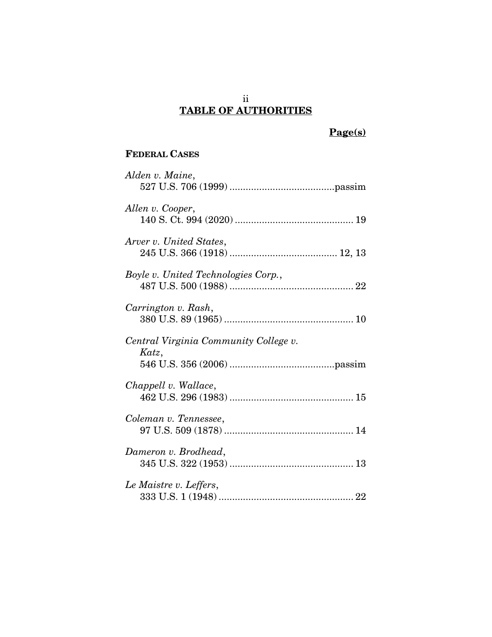### ii TABLE OF AUTHORITIES

# Page(s)

## FEDERAL CASES

| Alden v. Maine,                                |
|------------------------------------------------|
| Allen v. Cooper,                               |
| Arver v. United States,                        |
| Boyle v. United Technologies Corp.,            |
| Carrington v. Rash,                            |
| Central Virginia Community College v.<br>Katz, |
| Chappell v. Wallace,                           |
| Coleman v. Tennessee,                          |
| Dameron v. Brodhead,                           |
| Le Maistre v. Leffers,                         |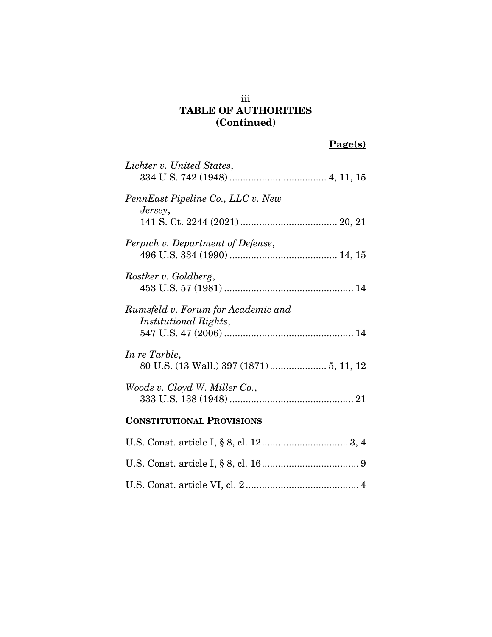### iii TABLE OF AUTHORITIES (Continued)

# Page(s)

| Lichter v. United States,                                   |
|-------------------------------------------------------------|
| PennEast Pipeline Co., LLC v. New<br>Jersey,                |
|                                                             |
| Perpich v. Department of Defense,                           |
| Rostker v. Goldberg,                                        |
| Rumsfeld v. Forum for Academic and<br>Institutional Rights, |
| In re Tarble,<br>80 U.S. (13 Wall.) 397 (1871)  5, 11, 12   |
| Woods v. Cloyd W. Miller Co.,                               |
| <b>CONSTITUTIONAL PROVISIONS</b>                            |
|                                                             |
|                                                             |
|                                                             |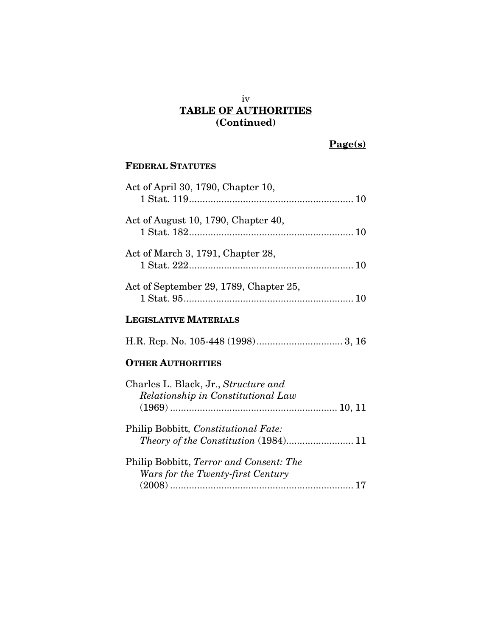### iv TABLE OF AUTHORITIES (Continued)

# Page(s)

## FEDERAL STATUTES

| Act of April 30, 1790, Chapter 10,     |
|----------------------------------------|
| Act of August 10, 1790, Chapter 40,    |
| Act of March 3, 1791, Chapter 28,      |
| Act of September 29, 1789, Chapter 25, |
| <b>LEGISLATIVE MATERIALS</b>           |
|                                        |
| <b>OTHER AUTHORITIES</b>               |
| Charles L. Black Jr. Structure and     |

| Charles L. Black, Jr., Structure and<br>Relationship in Constitutional Law          |  |
|-------------------------------------------------------------------------------------|--|
|                                                                                     |  |
| Philip Bobbitt, Constitutional Fate:                                                |  |
|                                                                                     |  |
| Philip Bobbitt, <i>Terror and Consent: The</i><br>Wars for the Twenty-first Century |  |
|                                                                                     |  |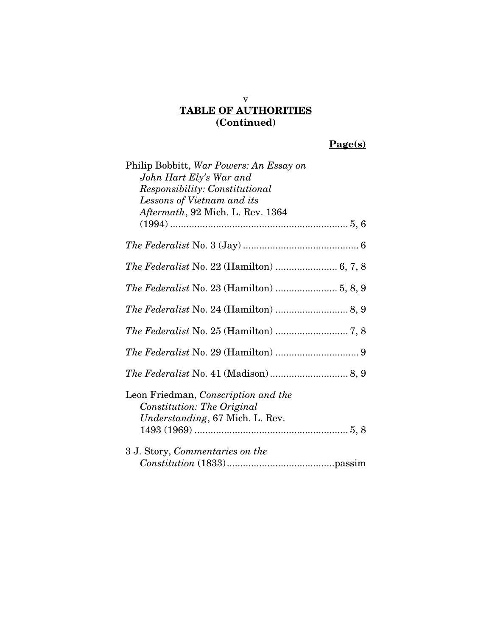## TABLE OF AUTHORITIES (Continued)

v

# Page(s)

| Philip Bobbitt, War Powers: An Essay on<br>John Hart Ely's War and |
|--------------------------------------------------------------------|
|                                                                    |
| Responsibility: Constitutional                                     |
| Lessons of Vietnam and its                                         |
| Aftermath, 92 Mich. L. Rev. 1364                                   |
|                                                                    |
|                                                                    |
| The Federalist No. 22 (Hamilton)  6, 7, 8                          |
|                                                                    |
|                                                                    |
|                                                                    |
|                                                                    |
|                                                                    |
| Leon Friedman, Conscription and the<br>Constitution: The Original  |
| Understanding, 67 Mich. L. Rev.                                    |
|                                                                    |
| 3 J. Story, Commentaries on the                                    |
|                                                                    |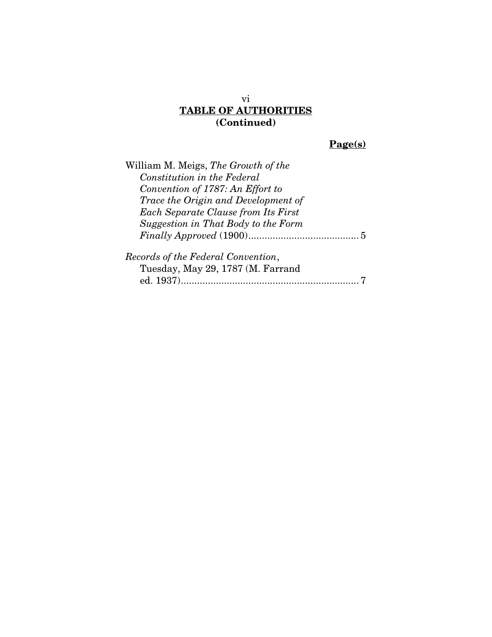### vi TABLE OF AUTHORITIES (Continued)

# Page(s)

| William M. Meigs, The Growth of the        |
|--------------------------------------------|
| Constitution in the Federal                |
| Convention of 1787: An Effort to           |
| Trace the Origin and Development of        |
| <b>Each Separate Clause from Its First</b> |
| Suggestion in That Body to the Form        |
|                                            |
| Records of the Federal Convention,         |
| Tuesday, May 29, 1787 (M. Farrand          |
|                                            |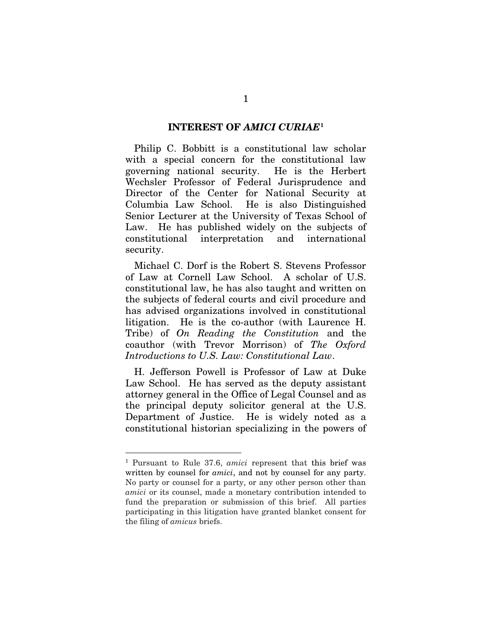### INTEREST OF *AMICI CURIAE*[1](#page-7-1)

<span id="page-7-0"></span>Philip C. Bobbitt is a constitutional law scholar with a special concern for the constitutional law governing national security. He is the Herbert Wechsler Professor of Federal Jurisprudence and Director of the Center for National Security at Columbia Law School. He is also Distinguished Senior Lecturer at the University of Texas School of Law. He has published widely on the subjects of constitutional interpretation and international security.

Michael C. Dorf is the Robert S. Stevens Professor of Law at Cornell Law School. A scholar of U.S. constitutional law, he has also taught and written on the subjects of federal courts and civil procedure and has advised organizations involved in constitutional litigation. He is the co-author (with Laurence H. Tribe) of *On Reading the Constitution* and the coauthor (with Trevor Morrison) of *The Oxford Introductions to U.S. Law: Constitutional Law*.

H. Jefferson Powell is Professor of Law at Duke Law School. He has served as the deputy assistant attorney general in the Office of Legal Counsel and as the principal deputy solicitor general at the U.S. Department of Justice. He is widely noted as a constitutional historian specializing in the powers of

<span id="page-7-1"></span> <sup>1</sup> Pursuant to Rule 37.6, *amici* represent that this brief was written by counsel for *amici*, and not by counsel for any party. No party or counsel for a party, or any other person other than *amici* or its counsel, made a monetary contribution intended to fund the preparation or submission of this brief. All parties participating in this litigation have granted blanket consent for the filing of *amicus* briefs.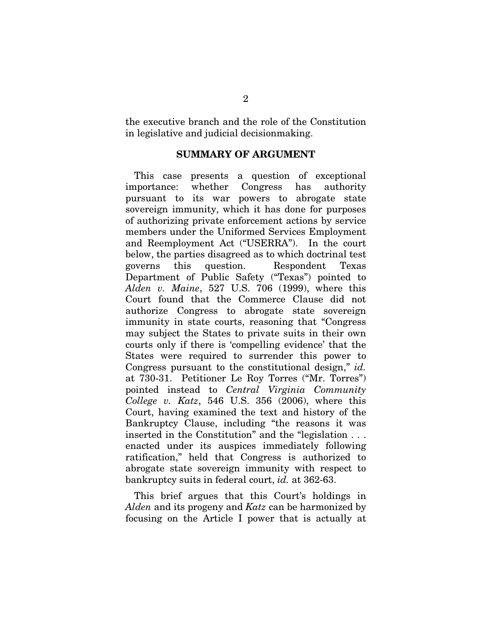<span id="page-8-0"></span>the executive branch and the role of the Constitution in legislative and judicial decisionmaking.

### SUMMARY OF ARGUMENT

This case presents a question of exceptional importance: whether Congress has authority pursuant to its war powers to abrogate state sovereign immunity, which it has done for purposes of authorizing private enforcement actions by service members under the Uniformed Services Employment and Reemployment Act ("USERRA"). In the court below, the parties disagreed as to which doctrinal test governs this question. Respondent Texas Department of Public Safety ("Texas") pointed to *Alden v. Maine*, 527 U.S. 706 (1999), where this Court found that the Commerce Clause did not authorize Congress to abrogate state sovereign immunity in state courts, reasoning that "Congress may subject the States to private suits in their own courts only if there is 'compelling evidence' that the States were required to surrender this power to Congress pursuant to the constitutional design," *id.* at 730-31. Petitioner Le Roy Torres ("Mr. Torres") pointed instead to *Central Virginia Community College v. Katz*, 546 U.S. 356 (2006), where this Court, having examined the text and history of the Bankruptcy Clause, including "the reasons it was inserted in the Constitution" and the "legislation . . . enacted under its auspices immediately following ratification," held that Congress is authorized to abrogate state sovereign immunity with respect to bankruptcy suits in federal court, *id.* at 362-63.

This brief argues that this Court's holdings in *Alden* and its progeny and *Katz* can be harmonized by focusing on the Article I power that is actually at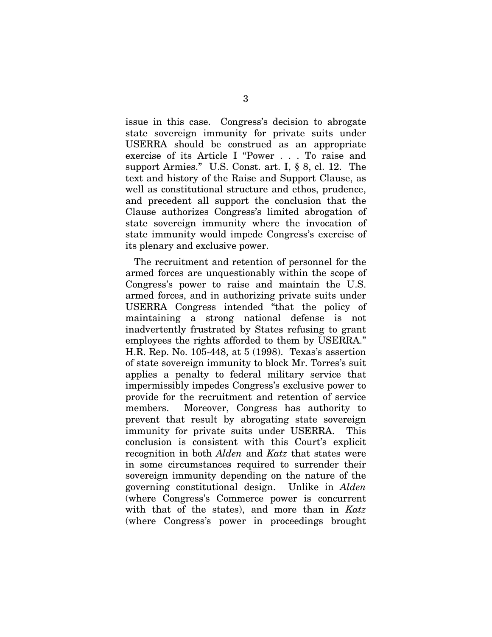issue in this case. Congress's decision to abrogate state sovereign immunity for private suits under USERRA should be construed as an appropriate exercise of its Article I "Power . . . To raise and support Armies." U.S. Const. art. I, § 8, cl. 12. The text and history of the Raise and Support Clause, as well as constitutional structure and ethos, prudence, and precedent all support the conclusion that the Clause authorizes Congress's limited abrogation of state sovereign immunity where the invocation of state immunity would impede Congress's exercise of its plenary and exclusive power.

The recruitment and retention of personnel for the armed forces are unquestionably within the scope of Congress's power to raise and maintain the U.S. armed forces, and in authorizing private suits under USERRA Congress intended "that the policy of maintaining a strong national defense is not inadvertently frustrated by States refusing to grant employees the rights afforded to them by USERRA." H.R. Rep. No. 105-448, at 5 (1998). Texas's assertion of state sovereign immunity to block Mr. Torres's suit applies a penalty to federal military service that impermissibly impedes Congress's exclusive power to provide for the recruitment and retention of service members. Moreover, Congress has authority to prevent that result by abrogating state sovereign immunity for private suits under USERRA. This conclusion is consistent with this Court's explicit recognition in both *Alden* and *Katz* that states were in some circumstances required to surrender their sovereign immunity depending on the nature of the governing constitutional design. Unlike in *Alden* (where Congress's Commerce power is concurrent with that of the states), and more than in *Katz* (where Congress's power in proceedings brought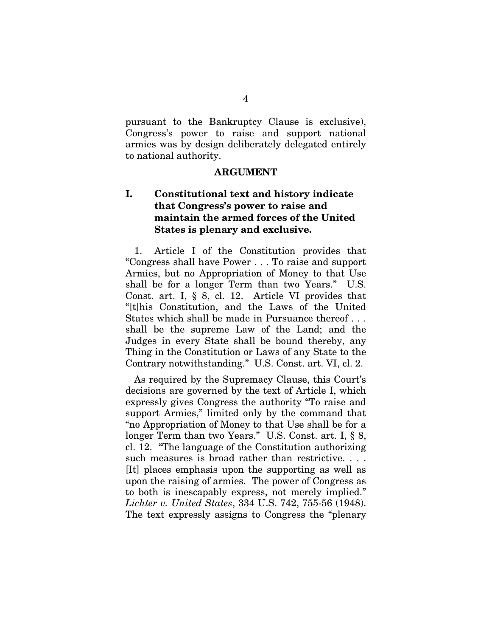pursuant to the Bankruptcy Clause is exclusive), Congress's power to raise and support national armies was by design deliberately delegated entirely to national authority.

#### ARGUMENT

### <span id="page-10-1"></span><span id="page-10-0"></span>I. Constitutional text and history indicate that Congress's power to raise and maintain the armed forces of the United States is plenary and exclusive.

1. Article I of the Constitution provides that "Congress shall have Power . . . To raise and support Armies, but no Appropriation of Money to that Use shall be for a longer Term than two Years." U.S. Const. art. I, § 8, cl. 12. Article VI provides that "[t]his Constitution, and the Laws of the United States which shall be made in Pursuance thereof . . . shall be the supreme Law of the Land; and the Judges in every State shall be bound thereby, any Thing in the Constitution or Laws of any State to the Contrary notwithstanding." U.S. Const. art. VI, cl. 2.

As required by the Supremacy Clause, this Court's decisions are governed by the text of Article I, which expressly gives Congress the authority "To raise and support Armies," limited only by the command that "no Appropriation of Money to that Use shall be for a longer Term than two Years." U.S. Const. art. I, § 8, cl. 12. "The language of the Constitution authorizing such measures is broad rather than restrictive. . . . [It] places emphasis upon the supporting as well as upon the raising of armies. The power of Congress as to both is inescapably express, not merely implied." *Lichter v. United States*, 334 U.S. 742, 755-56 (1948). The text expressly assigns to Congress the "plenary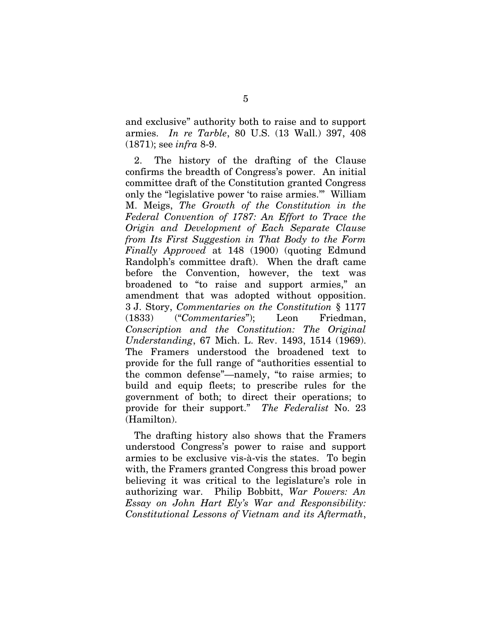and exclusive" authority both to raise and to support armies. *In re Tarble*, 80 U.S. (13 Wall.) 397, 408 (1871); see *infra* 8-9.

2. The history of the drafting of the Clause confirms the breadth of Congress's power. An initial committee draft of the Constitution granted Congress only the "legislative power 'to raise armies.'" William M. Meigs, *The Growth of the Constitution in the Federal Convention of 1787: An Effort to Trace the Origin and Development of Each Separate Clause from Its First Suggestion in That Body to the Form Finally Approved* at 148 (1900) (quoting Edmund Randolph's committee draft). When the draft came before the Convention, however, the text was broadened to "to raise and support armies," an amendment that was adopted without opposition. 3 J. Story, *Commentaries on the Constitution* § 1177 (1833) ("*Commentaries*"); Leon Friedman, *Conscription and the Constitution: The Original Understanding*, 67 Mich. L. Rev. 1493, 1514 (1969). The Framers understood the broadened text to provide for the full range of "authorities essential to the common defense"—namely, "to raise armies; to build and equip fleets; to prescribe rules for the government of both; to direct their operations; to provide for their support." *The Federalist* No. 23 (Hamilton).

The drafting history also shows that the Framers understood Congress's power to raise and support armies to be exclusive vis-à-vis the states. To begin with, the Framers granted Congress this broad power believing it was critical to the legislature's role in authorizing war. Philip Bobbitt, *War Powers: An Essay on John Hart Ely's War and Responsibility: Constitutional Lessons of Vietnam and its Aftermath*,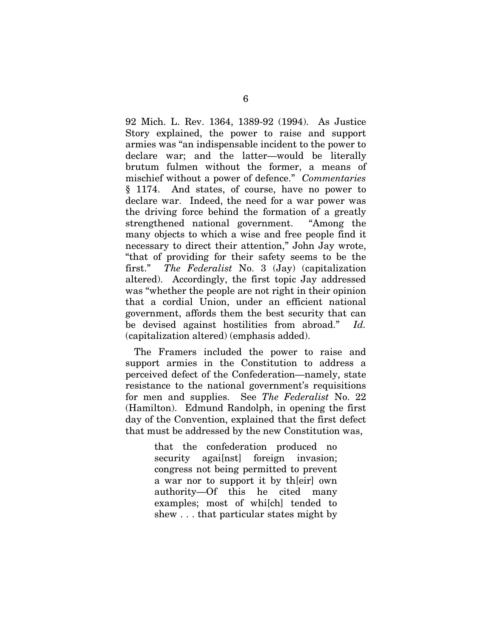92 Mich. L. Rev. 1364, 1389-92 (1994). As Justice Story explained, the power to raise and support armies was "an indispensable incident to the power to declare war; and the latter—would be literally brutum fulmen without the former, a means of mischief without a power of defence." *Commentaries* § 1174. And states, of course, have no power to declare war. Indeed, the need for a war power was the driving force behind the formation of a greatly strengthened national government. "Among the many objects to which a wise and free people find it necessary to direct their attention," John Jay wrote, "that of providing for their safety seems to be the first." *The Federalist* No. 3 (Jay) (capitalization altered). Accordingly, the first topic Jay addressed was "whether the people are not right in their opinion that a cordial Union, under an efficient national government, affords them the best security that can be devised against hostilities from abroad." *Id.* (capitalization altered) (emphasis added).

The Framers included the power to raise and support armies in the Constitution to address a perceived defect of the Confederation—namely, state resistance to the national government's requisitions for men and supplies. See *The Federalist* No. 22 (Hamilton). Edmund Randolph, in opening the first day of the Convention, explained that the first defect that must be addressed by the new Constitution was,

> that the confederation produced no security agai[nst] foreign invasion; congress not being permitted to prevent a war nor to support it by th[eir] own authority—Of this he cited many examples; most of whi[ch] tended to shew . . . that particular states might by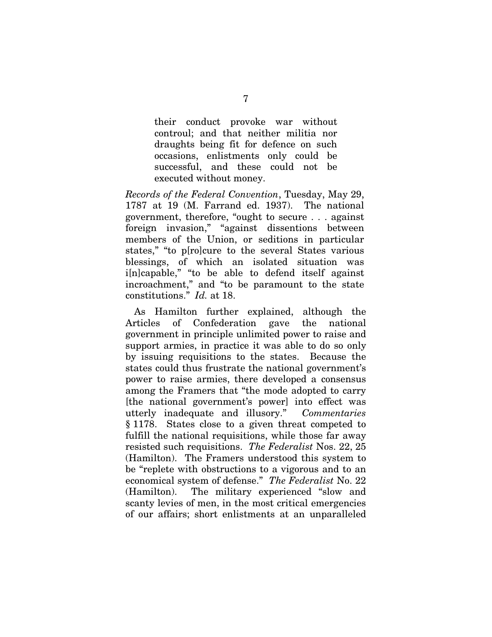their conduct provoke war without controul; and that neither militia nor draughts being fit for defence on such occasions, enlistments only could be successful, and these could not be executed without money.

*Records of the Federal Convention*, Tuesday, May 29, 1787 at 19 (M. Farrand ed. 1937). The national government, therefore, "ought to secure . . . against foreign invasion," "against dissentions between members of the Union, or seditions in particular states," "to p[ro]cure to the several States various blessings, of which an isolated situation was i[n]capable," "to be able to defend itself against incroachment," and "to be paramount to the state constitutions." *Id.* at 18.

As Hamilton further explained, although the Articles of Confederation gave the national government in principle unlimited power to raise and support armies, in practice it was able to do so only by issuing requisitions to the states. Because the states could thus frustrate the national government's power to raise armies, there developed a consensus among the Framers that "the mode adopted to carry [the national government's power] into effect was utterly inadequate and illusory." *Commentaries* § 1178. States close to a given threat competed to fulfill the national requisitions, while those far away resisted such requisitions. *The Federalist* Nos. 22, 25 (Hamilton). The Framers understood this system to be "replete with obstructions to a vigorous and to an economical system of defense." *The Federalist* No. 22 (Hamilton). The military experienced "slow and scanty levies of men, in the most critical emergencies of our affairs; short enlistments at an unparalleled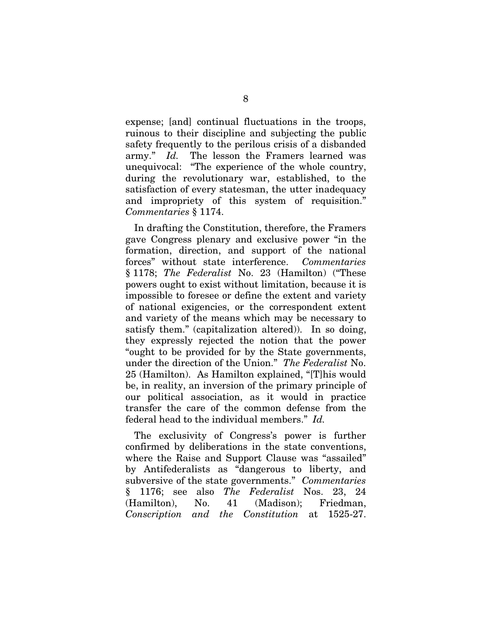expense; [and] continual fluctuations in the troops, ruinous to their discipline and subjecting the public safety frequently to the perilous crisis of a disbanded army." *Id.* The lesson the Framers learned was unequivocal: "The experience of the whole country, during the revolutionary war, established, to the satisfaction of every statesman, the utter inadequacy and impropriety of this system of requisition." *Commentaries* § 1174.

In drafting the Constitution, therefore, the Framers gave Congress plenary and exclusive power "in the formation, direction, and support of the national forces" without state interference. *Commentaries* § 1178; *The Federalist* No. 23 (Hamilton) ("These powers ought to exist without limitation, because it is impossible to foresee or define the extent and variety of national exigencies, or the correspondent extent and variety of the means which may be necessary to satisfy them." (capitalization altered)). In so doing, they expressly rejected the notion that the power "ought to be provided for by the State governments, under the direction of the Union." *The Federalist* No. 25 (Hamilton). As Hamilton explained, "[T]his would be, in reality, an inversion of the primary principle of our political association, as it would in practice transfer the care of the common defense from the federal head to the individual members." *Id.*

The exclusivity of Congress's power is further confirmed by deliberations in the state conventions, where the Raise and Support Clause was "assailed" by Antifederalists as "dangerous to liberty, and subversive of the state governments." *Commentaries* § 1176; see also *The Federalist* Nos. 23, 24 (Hamilton), No. 41 (Madison); Friedman, *Conscription and the Constitution* at 1525-27.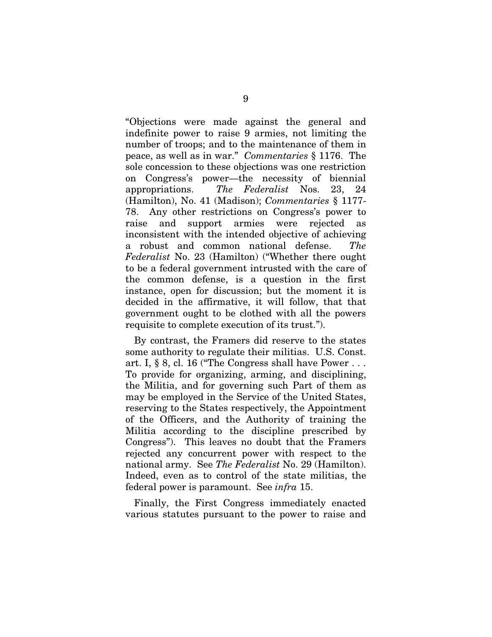"Objections were made against the general and indefinite power to raise 9 armies, not limiting the number of troops; and to the maintenance of them in peace, as well as in war." *Commentaries* § 1176. The sole concession to these objections was one restriction on Congress's power—the necessity of biennial appropriations. *The Federalist* Nos. 23, 24 (Hamilton), No. 41 (Madison); *Commentaries* § 1177- 78. Any other restrictions on Congress's power to raise and support armies were rejected as inconsistent with the intended objective of achieving a robust and common national defense. *The Federalist* No. 23 (Hamilton) ("Whether there ought to be a federal government intrusted with the care of the common defense, is a question in the first instance, open for discussion; but the moment it is decided in the affirmative, it will follow, that that government ought to be clothed with all the powers requisite to complete execution of its trust.").

By contrast, the Framers did reserve to the states some authority to regulate their militias. U.S. Const. art. I, § 8, cl. 16 ("The Congress shall have Power . . . To provide for organizing, arming, and disciplining, the Militia, and for governing such Part of them as may be employed in the Service of the United States, reserving to the States respectively, the Appointment of the Officers, and the Authority of training the Militia according to the discipline prescribed by Congress"). This leaves no doubt that the Framers rejected any concurrent power with respect to the national army. See *The Federalist* No. 29 (Hamilton). Indeed, even as to control of the state militias, the federal power is paramount. See *infra* 15.

Finally, the First Congress immediately enacted various statutes pursuant to the power to raise and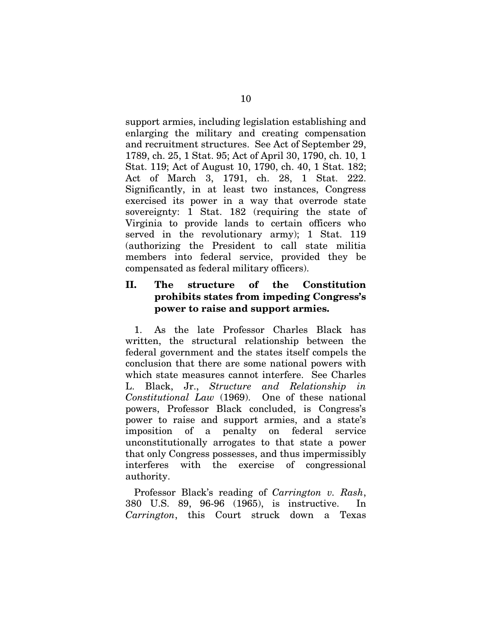support armies, including legislation establishing and enlarging the military and creating compensation and recruitment structures. See Act of September 29, 1789, ch. 25, 1 Stat. 95; Act of April 30, 1790, ch. 10, 1 Stat. 119; Act of August 10, 1790, ch. 40, 1 Stat. 182; Act of March 3, 1791, ch. 28, 1 Stat. 222. Significantly, in at least two instances, Congress exercised its power in a way that overrode state sovereignty: 1 Stat. 182 (requiring the state of Virginia to provide lands to certain officers who served in the revolutionary army); 1 Stat. 119 (authorizing the President to call state militia members into federal service, provided they be compensated as federal military officers).

### <span id="page-16-0"></span>II. The structure of the Constitution prohibits states from impeding Congress's power to raise and support armies.

1. As the late Professor Charles Black has written, the structural relationship between the federal government and the states itself compels the conclusion that there are some national powers with which state measures cannot interfere. See Charles L. Black, Jr., *Structure and Relationship in Constitutional Law* (1969). One of these national powers, Professor Black concluded, is Congress's power to raise and support armies, and a state's imposition of a penalty on federal service unconstitutionally arrogates to that state a power that only Congress possesses, and thus impermissibly interferes with the exercise of congressional authority.

Professor Black's reading of *Carrington v. Rash*, 380 U.S. 89, 96-96 (1965), is instructive. In *Carrington*, this Court struck down a Texas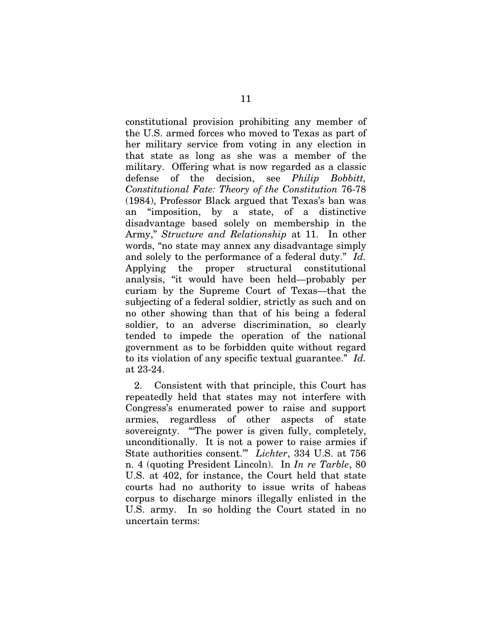constitutional provision prohibiting any member of the U.S. armed forces who moved to Texas as part of her military service from voting in any election in that state as long as she was a member of the military. Offering what is now regarded as a classic defense of the decision, see *Philip Bobbitt, Constitutional Fate: Theory of the Constitution* 76-78 (1984), Professor Black argued that Texas's ban was an "imposition, by a state, of a distinctive disadvantage based solely on membership in the Army," *Structure and Relationship* at 11. In other words, "no state may annex any disadvantage simply and solely to the performance of a federal duty." *Id.* Applying the proper structural constitutional analysis, "it would have been held—probably per curiam by the Supreme Court of Texas—that the subjecting of a federal soldier, strictly as such and on no other showing than that of his being a federal soldier, to an adverse discrimination, so clearly tended to impede the operation of the national government as to be forbidden quite without regard to its violation of any specific textual guarantee." *Id.* at 23-24.

2. Consistent with that principle, this Court has repeatedly held that states may not interfere with Congress's enumerated power to raise and support armies, regardless of other aspects of state sovereignty. "'The power is given fully, completely, unconditionally. It is not a power to raise armies if State authorities consent.'" *Lichter*, 334 U.S. at 756 n. 4 (quoting President Lincoln). In *In re Tarble*, 80 U.S. at 402, for instance, the Court held that state courts had no authority to issue writs of habeas corpus to discharge minors illegally enlisted in the U.S. army. In so holding the Court stated in no uncertain terms: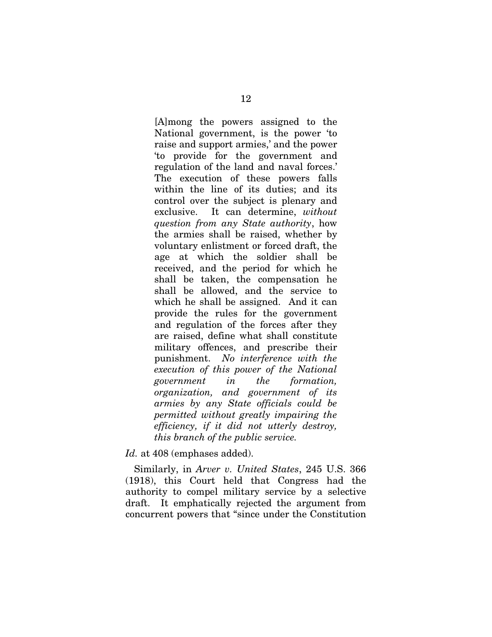[A]mong the powers assigned to the National government, is the power 'to raise and support armies,' and the power 'to provide for the government and regulation of the land and naval forces.' The execution of these powers falls within the line of its duties; and its control over the subject is plenary and exclusive. It can determine, *without question from any State authority*, how the armies shall be raised, whether by voluntary enlistment or forced draft, the age at which the soldier shall be received, and the period for which he shall be taken, the compensation he shall be allowed, and the service to which he shall be assigned. And it can provide the rules for the government and regulation of the forces after they are raised, define what shall constitute military offences, and prescribe their punishment. *No interference with the execution of this power of the National government in the formation, organization, and government of its armies by any State officials could be permitted without greatly impairing the efficiency, if it did not utterly destroy, this branch of the public service.*

*Id.* at 408 (emphases added).

Similarly, in *Arver v. United States*, 245 U.S. 366 (1918), this Court held that Congress had the authority to compel military service by a selective draft. It emphatically rejected the argument from concurrent powers that "since under the Constitution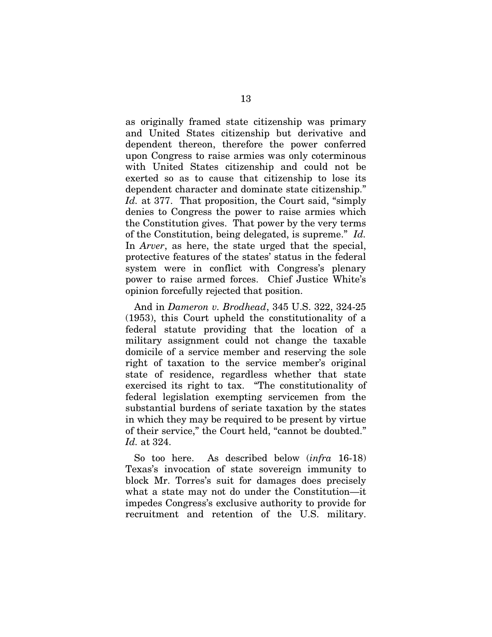as originally framed state citizenship was primary and United States citizenship but derivative and dependent thereon, therefore the power conferred upon Congress to raise armies was only coterminous with United States citizenship and could not be exerted so as to cause that citizenship to lose its dependent character and dominate state citizenship." *Id.* at 377. That proposition, the Court said, "simply denies to Congress the power to raise armies which the Constitution gives. That power by the very terms of the Constitution, being delegated, is supreme." *Id.* In *Arver*, as here, the state urged that the special, protective features of the states' status in the federal system were in conflict with Congress's plenary power to raise armed forces. Chief Justice White's opinion forcefully rejected that position.

And in *Dameron v. Brodhead*, 345 U.S. 322, 324-25 (1953), this Court upheld the constitutionality of a federal statute providing that the location of a military assignment could not change the taxable domicile of a service member and reserving the sole right of taxation to the service member's original state of residence, regardless whether that state exercised its right to tax. "The constitutionality of federal legislation exempting servicemen from the substantial burdens of seriate taxation by the states in which they may be required to be present by virtue of their service," the Court held, "cannot be doubted." *Id.* at 324.

So too here. As described below (*infra* 16-18) Texas's invocation of state sovereign immunity to block Mr. Torres's suit for damages does precisely what a state may not do under the Constitution—it impedes Congress's exclusive authority to provide for recruitment and retention of the U.S. military.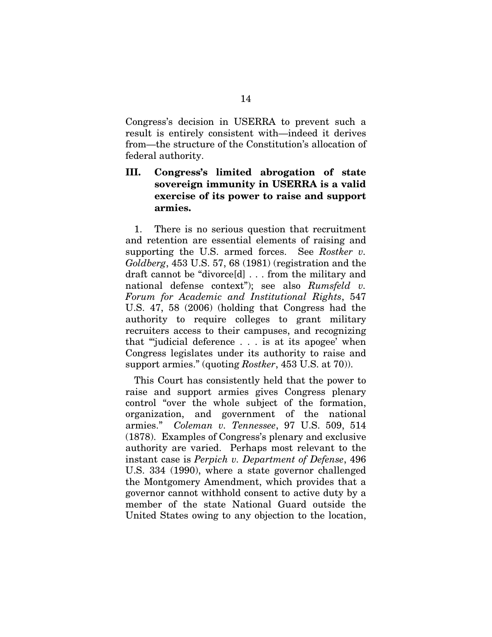Congress's decision in USERRA to prevent such a result is entirely consistent with—indeed it derives from—the structure of the Constitution's allocation of federal authority.

### <span id="page-20-0"></span>III. Congress's limited abrogation of state sovereign immunity in USERRA is a valid exercise of its power to raise and support armies.

1. There is no serious question that recruitment and retention are essential elements of raising and supporting the U.S. armed forces. See *Rostker v. Goldberg*, 453 U.S. 57, 68 (1981) (registration and the draft cannot be "divorce[d] . . . from the military and national defense context"); see also *Rumsfeld v. Forum for Academic and Institutional Rights*, 547 U.S. 47, 58 (2006) (holding that Congress had the authority to require colleges to grant military recruiters access to their campuses, and recognizing that "'judicial deference . . . is at its apogee' when Congress legislates under its authority to raise and support armies." (quoting *Rostker*, 453 U.S. at 70)).

This Court has consistently held that the power to raise and support armies gives Congress plenary control "over the whole subject of the formation, organization, and government of the national armies." *Coleman v. Tennessee*, 97 U.S. 509, 514 (1878). Examples of Congress's plenary and exclusive authority are varied. Perhaps most relevant to the instant case is *Perpich v. Department of Defense*, 496 U.S. 334 (1990), where a state governor challenged the Montgomery Amendment, which provides that a governor cannot withhold consent to active duty by a member of the state National Guard outside the United States owing to any objection to the location,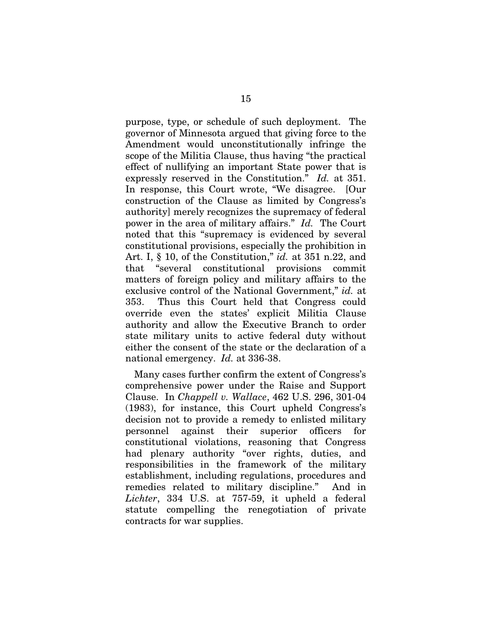purpose, type, or schedule of such deployment. The governor of Minnesota argued that giving force to the Amendment would unconstitutionally infringe the scope of the Militia Clause, thus having "the practical effect of nullifying an important State power that is expressly reserved in the Constitution." *Id.* at 351. In response, this Court wrote, "We disagree. [Our construction of the Clause as limited by Congress's authority] merely recognizes the supremacy of federal power in the area of military affairs." *Id.* The Court noted that this "supremacy is evidenced by several constitutional provisions, especially the prohibition in Art. I, § 10, of the Constitution," *id.* at 351 n.22, and that "several constitutional provisions commit matters of foreign policy and military affairs to the exclusive control of the National Government," *id.* at 353. Thus this Court held that Congress could override even the states' explicit Militia Clause authority and allow the Executive Branch to order state military units to active federal duty without either the consent of the state or the declaration of a national emergency. *Id.* at 336-38.

Many cases further confirm the extent of Congress's comprehensive power under the Raise and Support Clause. In *Chappell v. Wallace*, 462 U.S. 296, 301-04 (1983), for instance, this Court upheld Congress's decision not to provide a remedy to enlisted military personnel against their superior officers for constitutional violations, reasoning that Congress had plenary authority "over rights, duties, and responsibilities in the framework of the military establishment, including regulations, procedures and remedies related to military discipline." And in *Lichter*, 334 U.S. at 757-59, it upheld a federal statute compelling the renegotiation of private contracts for war supplies.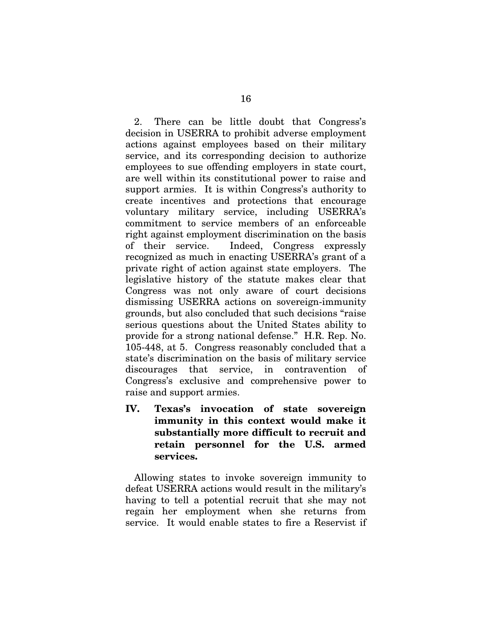2. There can be little doubt that Congress's decision in USERRA to prohibit adverse employment actions against employees based on their military service, and its corresponding decision to authorize employees to sue offending employers in state court, are well within its constitutional power to raise and support armies. It is within Congress's authority to create incentives and protections that encourage voluntary military service, including USERRA's commitment to service members of an enforceable right against employment discrimination on the basis of their service. Indeed, Congress expressly recognized as much in enacting USERRA's grant of a private right of action against state employers. The legislative history of the statute makes clear that Congress was not only aware of court decisions dismissing USERRA actions on sovereign-immunity grounds, but also concluded that such decisions "raise serious questions about the United States ability to provide for a strong national defense." H.R. Rep. No. 105-448, at 5. Congress reasonably concluded that a state's discrimination on the basis of military service discourages that service, in contravention of Congress's exclusive and comprehensive power to raise and support armies.

<span id="page-22-0"></span>IV. Texas's invocation of state sovereign immunity in this context would make it substantially more difficult to recruit and retain personnel for the U.S. armed services.

Allowing states to invoke sovereign immunity to defeat USERRA actions would result in the military's having to tell a potential recruit that she may not regain her employment when she returns from service. It would enable states to fire a Reservist if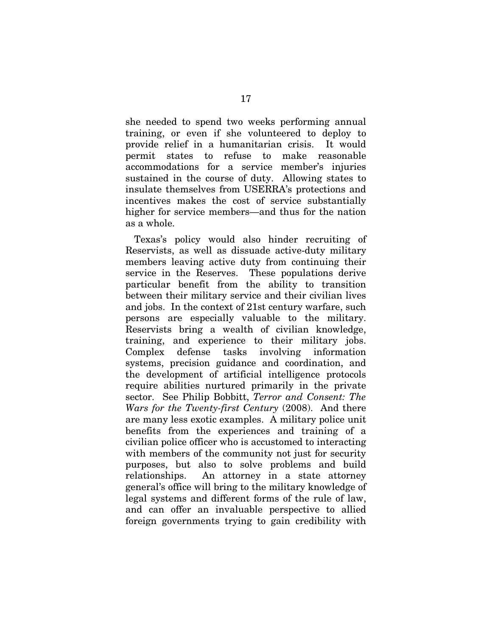she needed to spend two weeks performing annual training, or even if she volunteered to deploy to provide relief in a humanitarian crisis. It would permit states to refuse to make reasonable accommodations for a service member's injuries sustained in the course of duty. Allowing states to insulate themselves from USERRA's protections and incentives makes the cost of service substantially higher for service members—and thus for the nation as a whole.

Texas's policy would also hinder recruiting of Reservists, as well as dissuade active-duty military members leaving active duty from continuing their service in the Reserves. These populations derive particular benefit from the ability to transition between their military service and their civilian lives and jobs. In the context of 21st century warfare, such persons are especially valuable to the military. Reservists bring a wealth of civilian knowledge, training, and experience to their military jobs. Complex defense tasks involving information systems, precision guidance and coordination, and the development of artificial intelligence protocols require abilities nurtured primarily in the private sector. See Philip Bobbitt, *Terror and Consent: The Wars for the Twenty-first Century* (2008). And there are many less exotic examples. A military police unit benefits from the experiences and training of a civilian police officer who is accustomed to interacting with members of the community not just for security purposes, but also to solve problems and build relationships. An attorney in a state attorney general's office will bring to the military knowledge of legal systems and different forms of the rule of law, and can offer an invaluable perspective to allied foreign governments trying to gain credibility with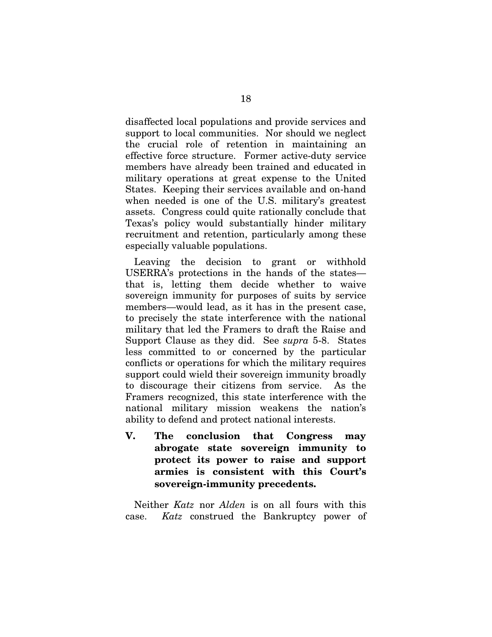disaffected local populations and provide services and support to local communities. Nor should we neglect the crucial role of retention in maintaining an effective force structure. Former active-duty service members have already been trained and educated in military operations at great expense to the United States. Keeping their services available and on-hand when needed is one of the U.S. military's greatest assets. Congress could quite rationally conclude that Texas's policy would substantially hinder military recruitment and retention, particularly among these especially valuable populations.

Leaving the decision to grant or withhold USERRA's protections in the hands of the states that is, letting them decide whether to waive sovereign immunity for purposes of suits by service members—would lead, as it has in the present case, to precisely the state interference with the national military that led the Framers to draft the Raise and Support Clause as they did. See *supra* 5-8. States less committed to or concerned by the particular conflicts or operations for which the military requires support could wield their sovereign immunity broadly to discourage their citizens from service. As the Framers recognized, this state interference with the national military mission weakens the nation's ability to defend and protect national interests.

<span id="page-24-0"></span>V. The conclusion that Congress may abrogate state sovereign immunity to protect its power to raise and support armies is consistent with this Court's sovereign-immunity precedents.

Neither *Katz* nor *Alden* is on all fours with this case. *Katz* construed the Bankruptcy power of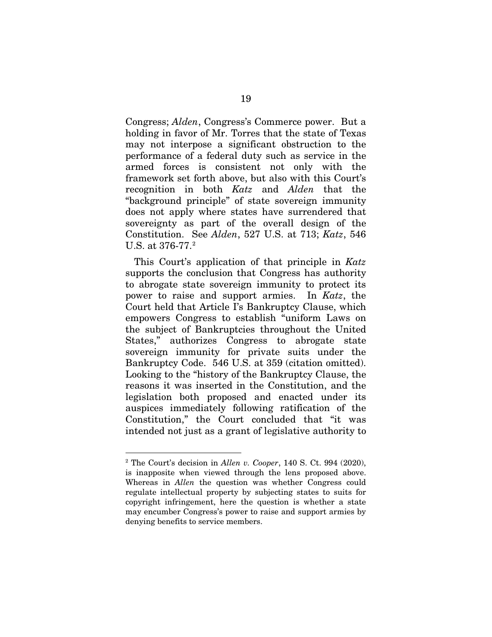Congress; *Alden*, Congress's Commerce power. But a holding in favor of Mr. Torres that the state of Texas may not interpose a significant obstruction to the performance of a federal duty such as service in the armed forces is consistent not only with the framework set forth above, but also with this Court's recognition in both *Katz* and *Alden* that the "background principle" of state sovereign immunity does not apply where states have surrendered that sovereignty as part of the overall design of the Constitution. See *Alden*, 527 U.S. at 713; *Katz*, 546 U.S. at 376-77.<sup>[2](#page-25-0)</sup>

This Court's application of that principle in *Katz* supports the conclusion that Congress has authority to abrogate state sovereign immunity to protect its power to raise and support armies. In *Katz*, the Court held that Article I's Bankruptcy Clause, which empowers Congress to establish "uniform Laws on the subject of Bankruptcies throughout the United States," authorizes Congress to abrogate state sovereign immunity for private suits under the Bankruptcy Code. 546 U.S. at 359 (citation omitted). Looking to the "history of the Bankruptcy Clause, the reasons it was inserted in the Constitution, and the legislation both proposed and enacted under its auspices immediately following ratification of the Constitution," the Court concluded that "it was intended not just as a grant of legislative authority to

<span id="page-25-0"></span> <sup>2</sup> The Court's decision in *Allen v. Cooper*, 140 S. Ct. 994 (2020), is inapposite when viewed through the lens proposed above. Whereas in *Allen* the question was whether Congress could regulate intellectual property by subjecting states to suits for copyright infringement, here the question is whether a state may encumber Congress's power to raise and support armies by denying benefits to service members.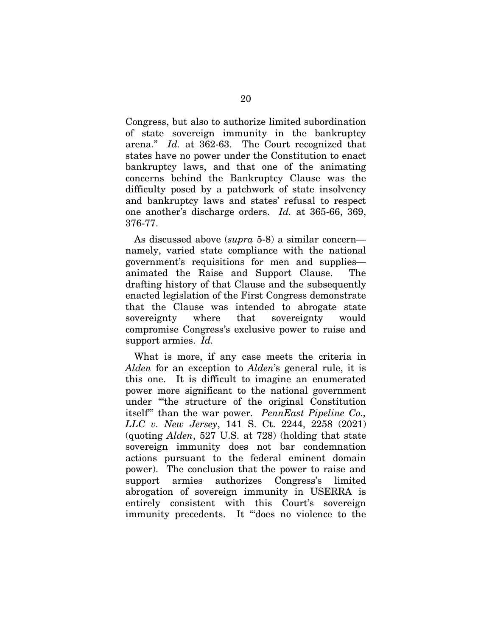Congress, but also to authorize limited subordination of state sovereign immunity in the bankruptcy arena." *Id.* at 362-63. The Court recognized that states have no power under the Constitution to enact bankruptcy laws, and that one of the animating concerns behind the Bankruptcy Clause was the difficulty posed by a patchwork of state insolvency and bankruptcy laws and states' refusal to respect one another's discharge orders. *Id.* at 365-66, 369, 376-77.

As discussed above (*supra* 5-8) a similar concern namely, varied state compliance with the national government's requisitions for men and supplies animated the Raise and Support Clause. The drafting history of that Clause and the subsequently enacted legislation of the First Congress demonstrate that the Clause was intended to abrogate state sovereignty where that sovereignty would compromise Congress's exclusive power to raise and support armies. *Id.* 

What is more, if any case meets the criteria in *Alden* for an exception to *Alden*'s general rule, it is this one. It is difficult to imagine an enumerated power more significant to the national government under "'the structure of the original Constitution itself'" than the war power. *PennEast Pipeline Co., LLC v. New Jersey*, 141 S. Ct. 2244, 2258 (2021) (quoting *Alden*, 527 U.S. at 728) (holding that state sovereign immunity does not bar condemnation actions pursuant to the federal eminent domain power). The conclusion that the power to raise and support armies authorizes Congress's limited abrogation of sovereign immunity in USERRA is entirely consistent with this Court's sovereign immunity precedents. It "'does no violence to the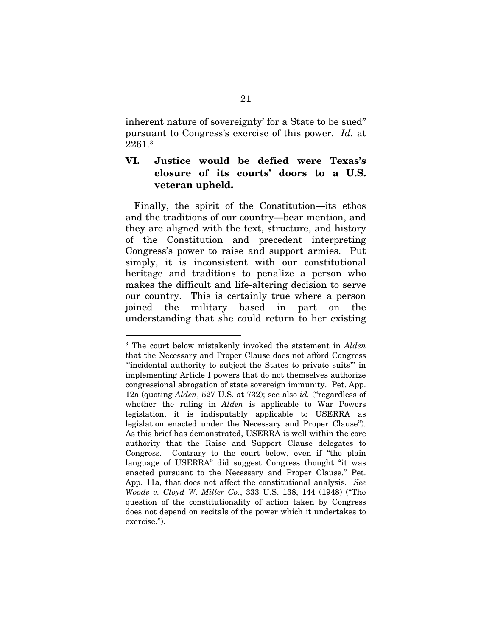inherent nature of sovereignty' for a State to be sued" pursuant to Congress's exercise of this power. *Id.* at 2261.[3](#page-27-1)

### <span id="page-27-0"></span>VI. Justice would be defied were Texas's closure of its courts' doors to a U.S. veteran upheld.

Finally, the spirit of the Constitution—its ethos and the traditions of our country—bear mention, and they are aligned with the text, structure, and history of the Constitution and precedent interpreting Congress's power to raise and support armies. Put simply, it is inconsistent with our constitutional heritage and traditions to penalize a person who makes the difficult and life-altering decision to serve our country. This is certainly true where a person joined the military based in part on the understanding that she could return to her existing

<span id="page-27-1"></span> <sup>3</sup> The court below mistakenly invoked the statement in *Alden* that the Necessary and Proper Clause does not afford Congress "'incidental authority to subject the States to private suits'" in implementing Article I powers that do not themselves authorize congressional abrogation of state sovereign immunity. Pet. App. 12a (quoting *Alden*, 527 U.S. at 732); see also *id.* ("regardless of whether the ruling in *Alden* is applicable to War Powers legislation, it is indisputably applicable to USERRA as legislation enacted under the Necessary and Proper Clause"). As this brief has demonstrated, USERRA is well within the core authority that the Raise and Support Clause delegates to Congress. Contrary to the court below, even if "the plain language of USERRA" did suggest Congress thought "it was enacted pursuant to the Necessary and Proper Clause," Pet. App. 11a, that does not affect the constitutional analysis. *See Woods v. Cloyd W. Miller Co.*, 333 U.S. 138, 144 (1948) ("The question of the constitutionality of action taken by Congress does not depend on recitals of the power which it undertakes to exercise.").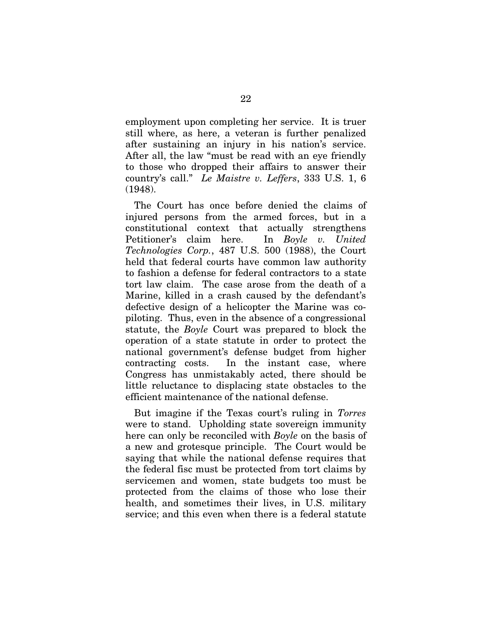employment upon completing her service. It is truer still where, as here, a veteran is further penalized after sustaining an injury in his nation's service. After all, the law "must be read with an eye friendly to those who dropped their affairs to answer their country's call." *Le Maistre v. Leffers*, 333 U.S. 1, 6 (1948).

The Court has once before denied the claims of injured persons from the armed forces, but in a constitutional context that actually strengthens Petitioner's claim here. In *Boyle v. United Technologies Corp.*, 487 U.S. 500 (1988), the Court held that federal courts have common law authority to fashion a defense for federal contractors to a state tort law claim. The case arose from the death of a Marine, killed in a crash caused by the defendant's defective design of a helicopter the Marine was copiloting. Thus, even in the absence of a congressional statute, the *Boyle* Court was prepared to block the operation of a state statute in order to protect the national government's defense budget from higher contracting costs. In the instant case, where Congress has unmistakably acted, there should be little reluctance to displacing state obstacles to the efficient maintenance of the national defense.

But imagine if the Texas court's ruling in *Torres* were to stand. Upholding state sovereign immunity here can only be reconciled with *Boyle* on the basis of a new and grotesque principle. The Court would be saying that while the national defense requires that the federal fisc must be protected from tort claims by servicemen and women, state budgets too must be protected from the claims of those who lose their health, and sometimes their lives, in U.S. military service; and this even when there is a federal statute